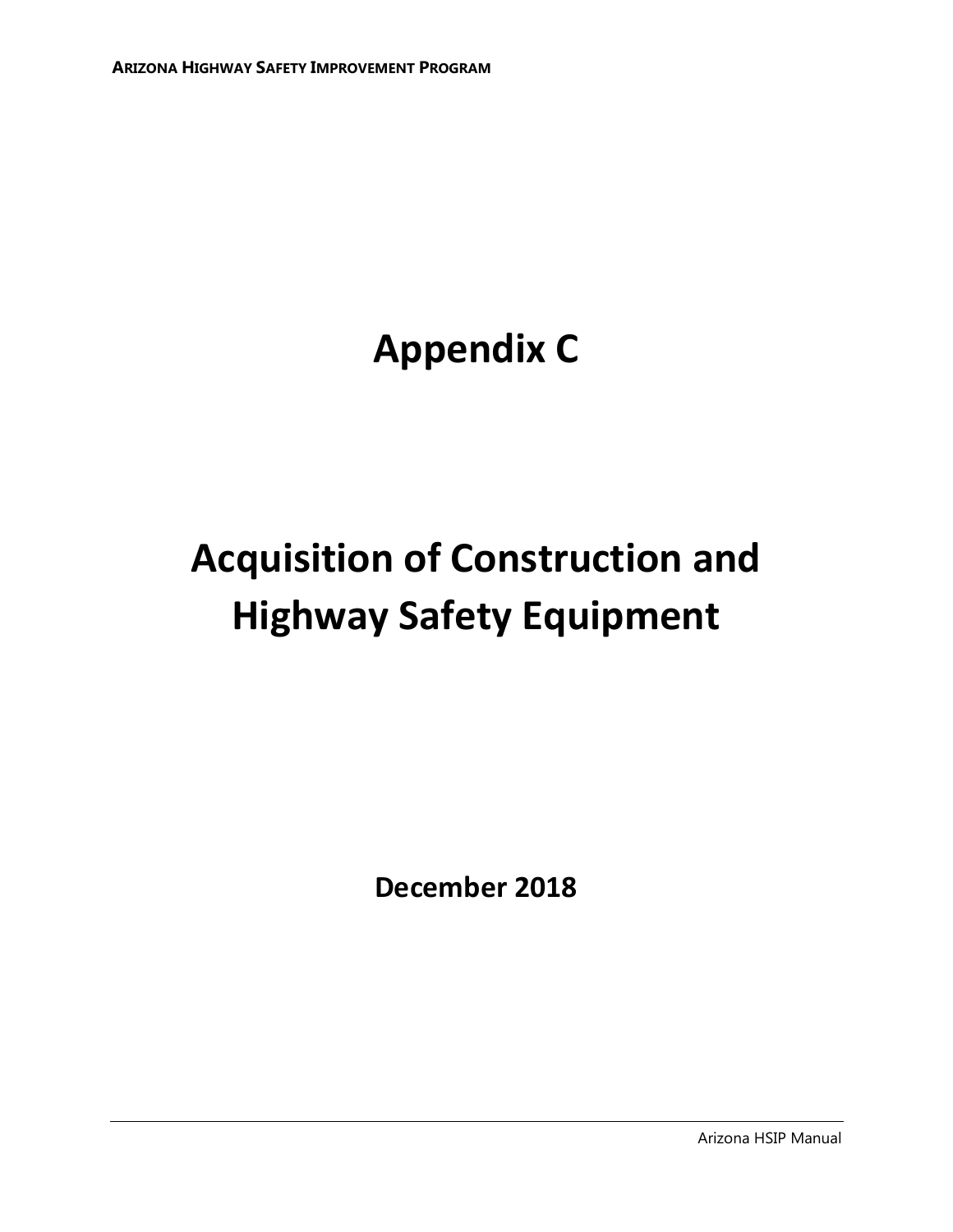## **Appendix C**

# **Acquisition of Construction and Highway Safety Equipment**

**December 2018**

Arizona HSIP Manual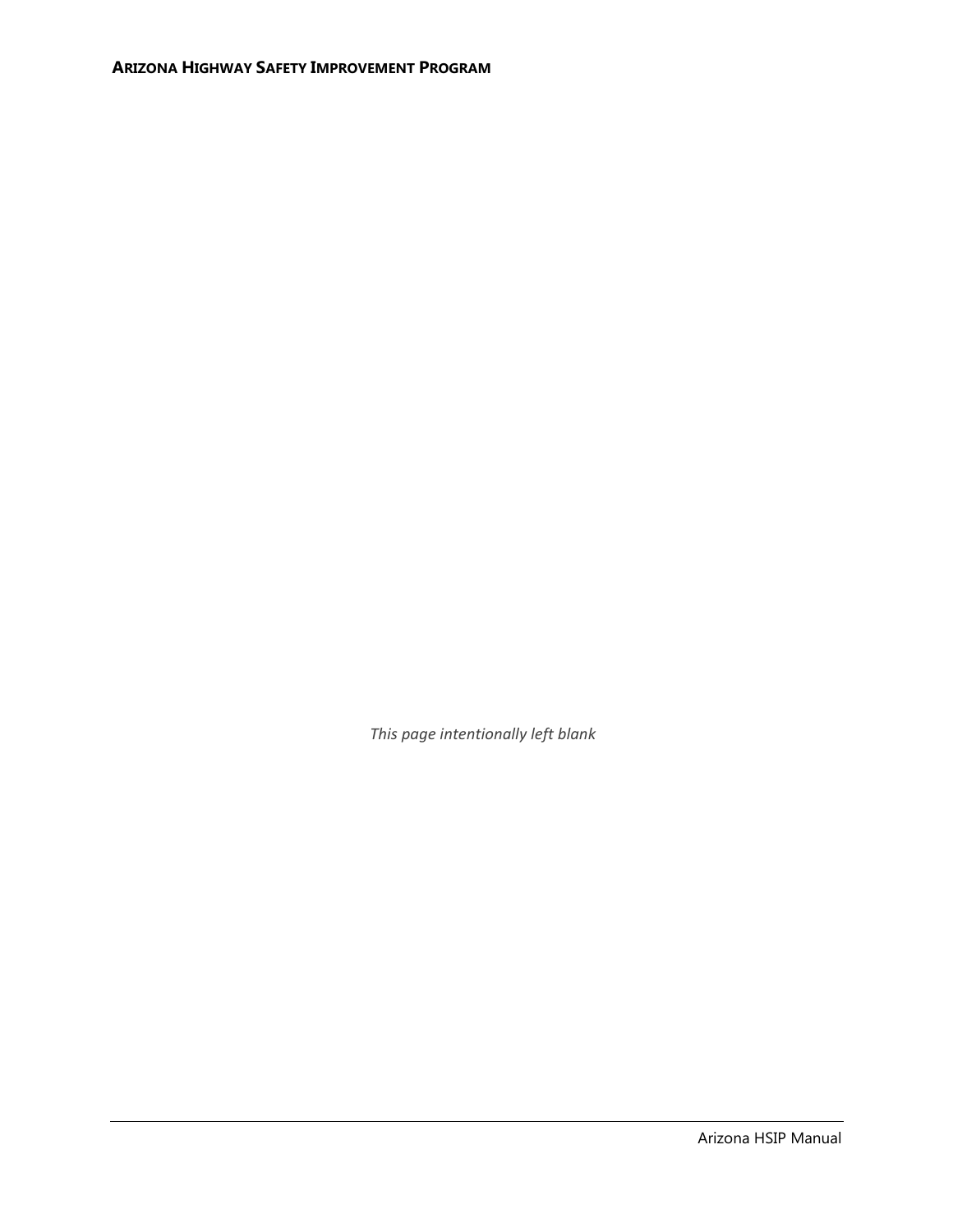*This page intentionally left blank*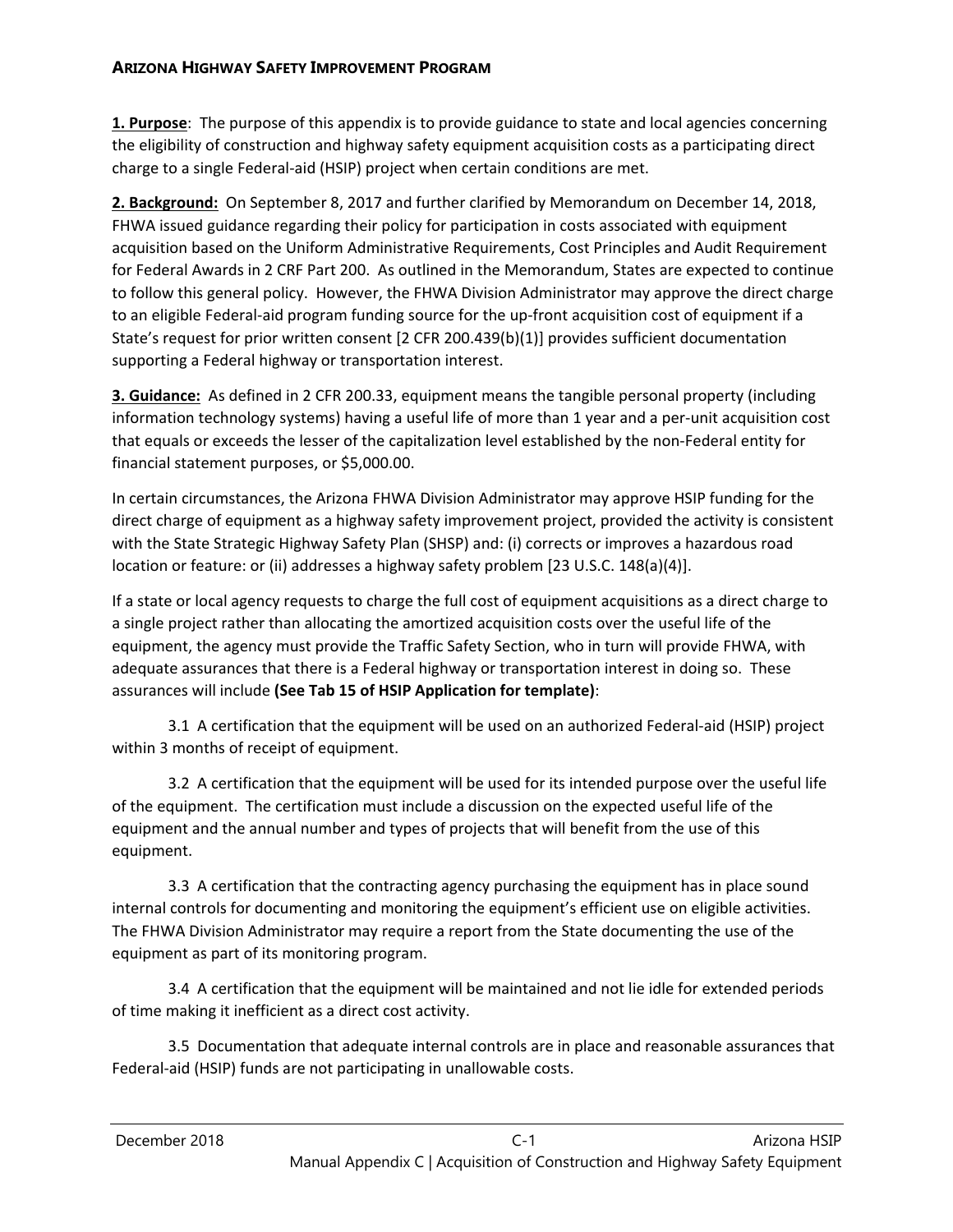### **ARIZONA HIGHWAY SAFETY IMPROVEMENT PROGRAM**

**1. Purpose**: The purpose of this appendix is to provide guidance to state and local agencies concerning the eligibility of construction and highway safety equipment acquisition costs as a participating direct charge to a single Federal‐aid (HSIP) project when certain conditions are met.

**2. Background:** On September 8, 2017 and further clarified by Memorandum on December 14, 2018, FHWA issued guidance regarding their policy for participation in costs associated with equipment acquisition based on the Uniform Administrative Requirements, Cost Principles and Audit Requirement for Federal Awards in 2 CRF Part 200. As outlined in the Memorandum, States are expected to continue to follow this general policy. However, the FHWA Division Administrator may approve the direct charge to an eligible Federal‐aid program funding source for the up‐front acquisition cost of equipment if a State's request for prior written consent [2 CFR 200.439(b)(1)] provides sufficient documentation supporting a Federal highway or transportation interest.

**3. Guidance:** As defined in 2 CFR 200.33, equipment means the tangible personal property (including information technology systems) having a useful life of more than 1 year and a per-unit acquisition cost that equals or exceeds the lesser of the capitalization level established by the non‐Federal entity for financial statement purposes, or \$5,000.00.

In certain circumstances, the Arizona FHWA Division Administrator may approve HSIP funding for the direct charge of equipment as a highway safety improvement project, provided the activity is consistent with the State Strategic Highway Safety Plan (SHSP) and: (i) corrects or improves a hazardous road location or feature: or (ii) addresses a highway safety problem [23 U.S.C. 148(a)(4)].

If a state or local agency requests to charge the full cost of equipment acquisitions as a direct charge to a single project rather than allocating the amortized acquisition costs over the useful life of the equipment, the agency must provide the Traffic Safety Section, who in turn will provide FHWA, with adequate assurances that there is a Federal highway or transportation interest in doing so. These assurances will include **(See Tab 15 of HSIP Application for template)**:

3.1 A certification that the equipment will be used on an authorized Federal-aid (HSIP) project within 3 months of receipt of equipment.

3.2 A certification that the equipment will be used for its intended purpose over the useful life of the equipment. The certification must include a discussion on the expected useful life of the equipment and the annual number and types of projects that will benefit from the use of this equipment.

3.3 A certification that the contracting agency purchasing the equipment has in place sound internal controls for documenting and monitoring the equipment's efficient use on eligible activities. The FHWA Division Administrator may require a report from the State documenting the use of the equipment as part of its monitoring program.

3.4 A certification that the equipment will be maintained and not lie idle for extended periods of time making it inefficient as a direct cost activity.

3.5 Documentation that adequate internal controls are in place and reasonable assurances that Federal‐aid (HSIP) funds are not participating in unallowable costs.